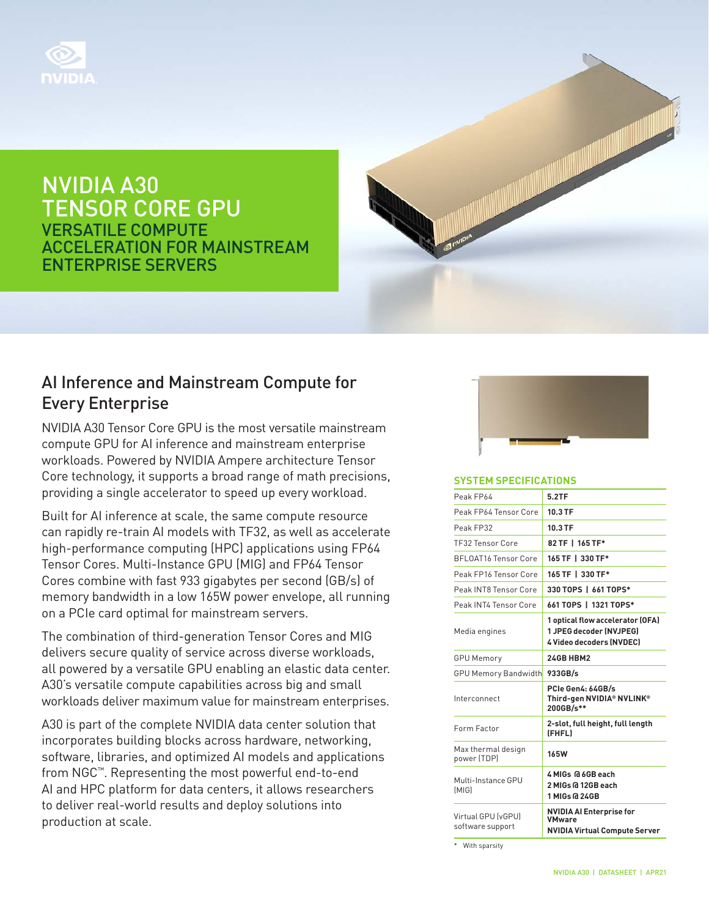

NVIDIA A30 TENSOR CORE GPU VERSATILE COMPUTE ACCELERATION FOR MAINSTREAM ENTERPRISE SERVERS



## AI Inference and Mainstream Compute for Every Enterprise

NVIDIA A30 Tensor Core GPU is the most versatile mainstream compute GPU for AI inference and mainstream enterprise workloads. Powered by NVIDIA Ampere architecture Tensor Core technology, it supports a broad range of math precisions, providing a single accelerator to speed up every workload.

Built for AI inference at scale, the same compute resource can rapidly re-train AI models with TF32, as well as accelerate high-performance computing (HPC) applications using FP64 Tensor Cores. Multi-Instance GPU (MIG) and FP64 Tensor Cores combine with fast 933 gigabytes per second (GB/s) of memory bandwidth in a low 165W power envelope, all running on a PCIe card optimal for mainstream servers.

The combination of third-generation Tensor Cores and MIG delivers secure quality of service across diverse workloads, all powered by a versatile GPU enabling an elastic data center. A30's versatile compute capabilities across big and small workloads deliver maximum value for mainstream enterprises.

A30 is part of the complete NVIDIA data center solution that incorporates building blocks across hardware, networking, software, libraries, and optimized AI models and applications from NGC™. Representing the most powerful end-to-end AI and HPC platform for data centers, it allows researchers to deliver real-world results and deploy solutions into production at scale.



#### **SYSTEM SPECIFICATIONS**

| Peak FP64                              | 5.2TF                                                                                          |
|----------------------------------------|------------------------------------------------------------------------------------------------|
| Peak FP64 Tensor Core                  | 10.3 TF                                                                                        |
| Peak FP32                              | 10.3 TF                                                                                        |
| <b>TF32 Tensor Core</b>                | 82 TF   165 TF*                                                                                |
| <b>BFLOAT16 Tensor Core</b>            | 165 TF   330 TF*                                                                               |
| Peak FP16 Tensor Core                  | 165 TF   330 TF*                                                                               |
| Peak INT8 Tensor Core                  | 330 TOPS   661 TOPS*                                                                           |
| Peak INT4 Tensor Core                  | 661 TOPS   1321 TOPS*                                                                          |
| Media engines                          | 1 optical flow accelerator (OFA)<br>1 JPEG decoder (NVJPEG)<br><b>4 Video decoders (NVDEC)</b> |
| <b>GPU Memory</b>                      | 24GB HBM2                                                                                      |
| <b>GPU Memory Bandwidth</b>            | 933GB/s                                                                                        |
| Interconnect                           | PCIe Gen4: 64GB/s<br>Third-gen NVIDIA® NVLINK®<br>200GB/s**                                    |
| Form Factor                            | 2-slot, full height, full length<br>(FHFL)                                                     |
| Max thermal design<br>power (TDP)      | <b>165W</b>                                                                                    |
| Multi-Instance GPU<br>[M G]            | 4 MIGs @ 6GB each<br>2 MIGs @ 12GB each<br>1 MIGs @ 24GB                                       |
| Virtual GPU (vGPU)<br>software support | <b>NVIDIA AI Enterprise for</b><br><b>VMware</b><br><b>NVIDIA Virtual Compute Server</b>       |

\* With sparsity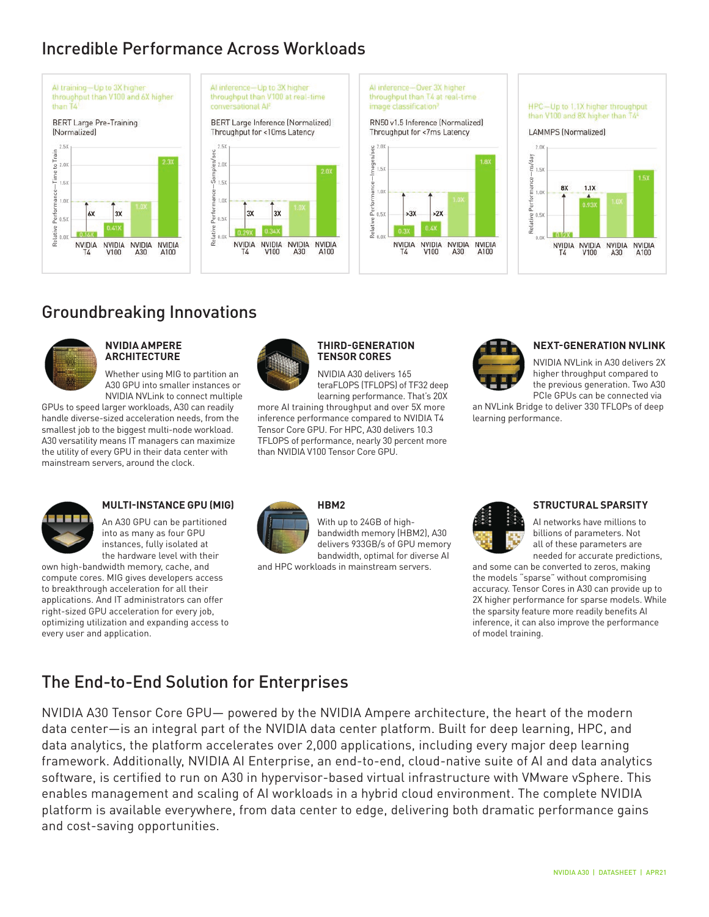# Incredible Performance Across Workloads









## Groundbreaking Innovations



#### **NVIDIA AMPERE ARCHITECTURE**

Whether using MIG to partition an A30 GPU into smaller instances or NVIDIA NVLink to connect multiple

GPUs to speed larger workloads, A30 can readily more AI handle diverse-sized acceleration needs, from the smallest job to the biggest multi-node workload. A30 versatility means IT managers can maximize the utility of every GPU in their data center with mainstream servers, around the clock.



#### **THIRD-GENERATION TENSOR CORES**

NVIDIA A30 delivers 165 teraFLOPS (TFLOPS) of TF32 deep learning performance. That's 20X

more AI training throughput and over 5X more inference performance compared to NVIDIA T4 Tensor Core GPU. For HPC, A30 delivers 10.3 TFLOPS of performance, nearly 30 percent more than NVIDIA V100 Tensor Core GPU.



## **NEXT-GENERATION NVLINK**

NVIDIA NVLink in A30 delivers 2X higher throughput compared to the previous generation. Two A30 PCIe GPUs can be connected via

an NVLink Bridge to deliver 330 TFLOPs of deep learning performance.



## **MULTI-INSTANCE GPU (MIG)**

An A30 GPU can be partitioned into as many as four GPU instances, fully isolated at the hardware level with their

own high-bandwidth memory, cache, and compute cores. MIG gives developers access to breakthrough acceleration for all their applications. And IT administrators can offer right-sized GPU acceleration for every job, optimizing utilization and expanding access to every user and application.



### **HBM2**

With up to 24GB of highbandwidth memory (HBM2), A30 delivers 933GB/s of GPU memory bandwidth, optimal for diverse AI

and HPC workloads in mainstream servers.



#### **STRUCTURAL SPARSITY**

AI networks have millions to billions of parameters. Not all of these parameters are needed for accurate predictions,

and some can be converted to zeros, making the models "sparse" without compromising accuracy. Tensor Cores in A30 can provide up to 2X higher performance for sparse models. While the sparsity feature more readily benefits AI inference, it can also improve the performance of model training.

# The End-to-End Solution for Enterprises

NVIDIA A30 Tensor Core GPU— powered by the NVIDIA Ampere architecture, the heart of the modern data center—is an integral part of the NVIDIA data center platform. Built for deep learning, HPC, and data analytics, the platform accelerates over 2,000 applications, including every major deep learning framework. Additionally, NVIDIA AI Enterprise, an end-to-end, cloud-native suite of AI and data analytics software, is certified to run on A30 in hypervisor-based virtual infrastructure with VMware vSphere. This enables management and scaling of AI workloads in a hybrid cloud environment. The complete NVIDIA platform is available everywhere, from data center to edge, delivering both dramatic performance gains and cost-saving opportunities.